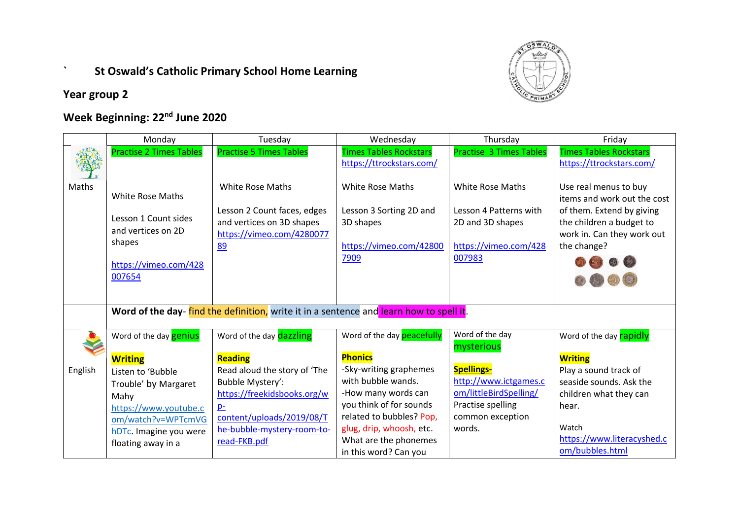## **` St Oswald's Catholic Primary School Home Learning**



**Year group 2**

## **Week Beginning: 22nd June 2020**

|         | Monday                                                                                                             | Tuesday                                                                                                                | Wednesday                                                                                          | Thursday                                                                                                 | Friday                                                                                                                                                     |
|---------|--------------------------------------------------------------------------------------------------------------------|------------------------------------------------------------------------------------------------------------------------|----------------------------------------------------------------------------------------------------|----------------------------------------------------------------------------------------------------------|------------------------------------------------------------------------------------------------------------------------------------------------------------|
|         | <b>Practise 2 Times Tables</b>                                                                                     | <b>Practise 5 Times Tables</b>                                                                                         | <b>Times Tables Rockstars</b>                                                                      | <b>Practise 3 Times Tables</b>                                                                           | <b>Times Tables Rockstars</b>                                                                                                                              |
|         |                                                                                                                    |                                                                                                                        | https://ttrockstars.com/                                                                           |                                                                                                          | https://ttrockstars.com/                                                                                                                                   |
| Maths   | <b>White Rose Maths</b><br>Lesson 1 Count sides<br>and vertices on 2D<br>shapes<br>https://vimeo.com/428<br>007654 | <b>White Rose Maths</b><br>Lesson 2 Count faces, edges<br>and vertices on 3D shapes<br>https://vimeo.com/4280077<br>89 | <b>White Rose Maths</b><br>Lesson 3 Sorting 2D and<br>3D shapes<br>https://vimeo.com/42800<br>7909 | <b>White Rose Maths</b><br>Lesson 4 Patterns with<br>2D and 3D shapes<br>https://vimeo.com/428<br>007983 | Use real menus to buy<br>items and work out the cost<br>of them. Extend by giving<br>the children a budget to<br>work in. Can they work out<br>the change? |
|         |                                                                                                                    | Word of the day-find the definition, write it in a sentence and learn how to spell it.                                 |                                                                                                    |                                                                                                          |                                                                                                                                                            |
|         | Word of the day <b>genius</b>                                                                                      | Word of the day dazzling                                                                                               | Word of the day <b>peacefully</b>                                                                  | Word of the day<br>mysterious                                                                            | Word of the day <b>rapidly</b>                                                                                                                             |
|         | <b>Writing</b>                                                                                                     | <b>Reading</b>                                                                                                         | <b>Phonics</b>                                                                                     |                                                                                                          | <b>Writing</b>                                                                                                                                             |
| English | Listen to 'Bubble                                                                                                  | Read aloud the story of 'The                                                                                           | -Sky-writing graphemes                                                                             | <b>Spellings-</b>                                                                                        | Play a sound track of                                                                                                                                      |
|         | Trouble' by Margaret                                                                                               | Bubble Mystery':                                                                                                       | with bubble wands.                                                                                 | http://www.ictgames.c                                                                                    | seaside sounds. Ask the                                                                                                                                    |
|         | Mahy                                                                                                               | https://freekidsbooks.org/w                                                                                            | -How many words can                                                                                | om/littleBirdSpelling/                                                                                   | children what they can                                                                                                                                     |
|         | https://www.youtube.c                                                                                              | $p_{-}$                                                                                                                | you think of for sounds                                                                            | Practise spelling                                                                                        | hear.                                                                                                                                                      |
|         | om/watch?v=WPTcmVG                                                                                                 | content/uploads/2019/08/T                                                                                              | related to bubbles? Pop,                                                                           | common exception                                                                                         |                                                                                                                                                            |
|         | hDTc. Imagine you were                                                                                             | he-bubble-mystery-room-to-                                                                                             | glug, drip, whoosh, etc.                                                                           | words.                                                                                                   | Watch                                                                                                                                                      |
|         | floating away in a                                                                                                 | read-FKB.pdf                                                                                                           | What are the phonemes                                                                              |                                                                                                          | https://www.literacyshed.c                                                                                                                                 |
|         |                                                                                                                    |                                                                                                                        | in this word? Can you                                                                              |                                                                                                          | om/bubbles.html                                                                                                                                            |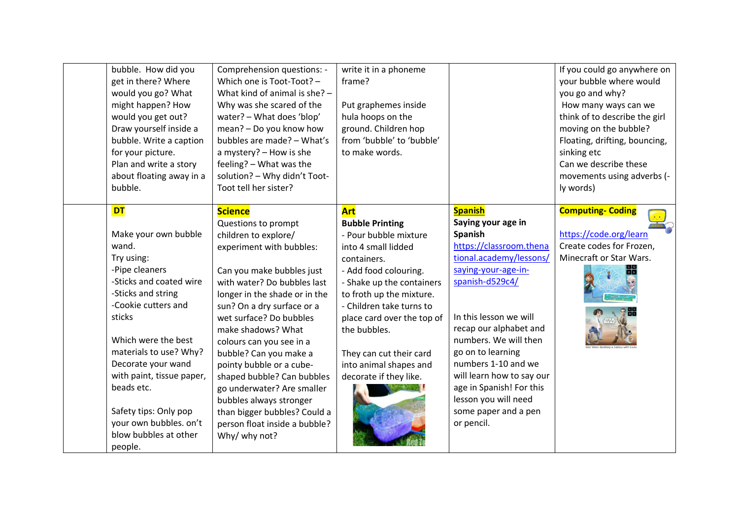| bubble. How did you<br>get in there? Where<br>would you go? What<br>might happen? How<br>would you get out?<br>Draw yourself inside a<br>bubble. Write a caption<br>for your picture.<br>Plan and write a story<br>about floating away in a<br>bubble.                                                                                                                | Comprehension questions: -<br>Which one is Toot-Toot? -<br>What kind of animal is she? -<br>Why was she scared of the<br>water? - What does 'blop'<br>mean? - Do you know how<br>bubbles are made? - What's<br>a mystery? - How is she<br>feeling? - What was the<br>solution? - Why didn't Toot-<br>Toot tell her sister?                                                                                                                                                                                                       | write it in a phoneme<br>frame?<br>Put graphemes inside<br>hula hoops on the<br>ground. Children hop<br>from 'bubble' to 'bubble'<br>to make words.                                                                                                                                                                                            |                                                                                                                                                                                                                                                                                                                                                                                                 | If you could go anywhere on<br>your bubble where would<br>you go and why?<br>How many ways can we<br>think of to describe the girl<br>moving on the bubble?<br>Floating, drifting, bouncing,<br>sinking etc<br>Can we describe these<br>movements using adverbs (-<br>ly words) |
|-----------------------------------------------------------------------------------------------------------------------------------------------------------------------------------------------------------------------------------------------------------------------------------------------------------------------------------------------------------------------|----------------------------------------------------------------------------------------------------------------------------------------------------------------------------------------------------------------------------------------------------------------------------------------------------------------------------------------------------------------------------------------------------------------------------------------------------------------------------------------------------------------------------------|------------------------------------------------------------------------------------------------------------------------------------------------------------------------------------------------------------------------------------------------------------------------------------------------------------------------------------------------|-------------------------------------------------------------------------------------------------------------------------------------------------------------------------------------------------------------------------------------------------------------------------------------------------------------------------------------------------------------------------------------------------|---------------------------------------------------------------------------------------------------------------------------------------------------------------------------------------------------------------------------------------------------------------------------------|
| <b>DT</b><br>Make your own bubble<br>wand.<br>Try using:<br>-Pipe cleaners<br>-Sticks and coated wire<br>-Sticks and string<br>-Cookie cutters and<br>sticks<br>Which were the best<br>materials to use? Why?<br>Decorate your wand<br>with paint, tissue paper,<br>beads etc.<br>Safety tips: Only pop<br>your own bubbles. on't<br>blow bubbles at other<br>people. | <b>Science</b><br>Questions to prompt<br>children to explore/<br>experiment with bubbles:<br>Can you make bubbles just<br>with water? Do bubbles last<br>longer in the shade or in the<br>sun? On a dry surface or a<br>wet surface? Do bubbles<br>make shadows? What<br>colours can you see in a<br>bubble? Can you make a<br>pointy bubble or a cube-<br>shaped bubble? Can bubbles<br>go underwater? Are smaller<br>bubbles always stronger<br>than bigger bubbles? Could a<br>person float inside a bubble?<br>Why/ why not? | <b>Art</b><br><b>Bubble Printing</b><br>- Pour bubble mixture<br>into 4 small lidded<br>containers.<br>- Add food colouring.<br>- Shake up the containers<br>to froth up the mixture.<br>- Children take turns to<br>place card over the top of<br>the bubbles.<br>They can cut their card<br>into animal shapes and<br>decorate if they like. | <b>Spanish</b><br>Saying your age in<br>Spanish<br>https://classroom.thena<br>tional.academy/lessons/<br>saying-your-age-in-<br>spanish-d529c4/<br>In this lesson we will<br>recap our alphabet and<br>numbers. We will then<br>go on to learning<br>numbers 1-10 and we<br>will learn how to say our<br>age in Spanish! For this<br>lesson you will need<br>some paper and a pen<br>or pencil. | <b>Computing- Coding</b><br>https://code.org/learn<br>Create codes for Frozen,<br>Minecraft or Star Wars.                                                                                                                                                                       |